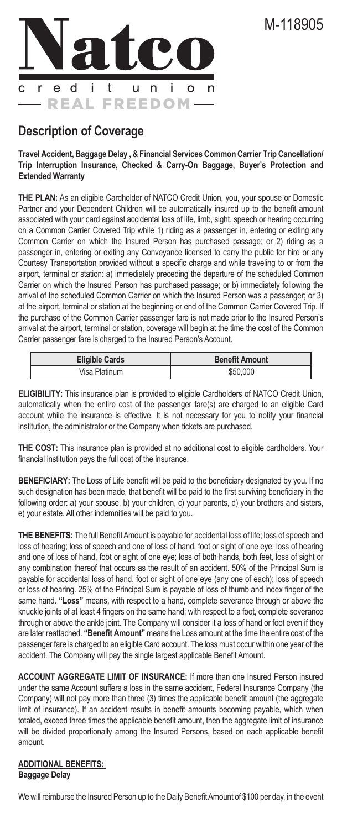

# **Description of Coverage**

**Travel Accident, Baggage Delay , & Financial Services Common Carrier Trip Cancellation/ Trip Interruption Insurance, Checked & Carry-On Baggage, Buyer's Protection and Extended Warranty** 

**THE PLAN:** As an eligible Cardholder of NATCO Credit Union, you, your spouse or Domestic Partner and your Dependent Children will be automatically insured up to the benefit amount associated with your card against accidental loss of life, limb, sight, speech or hearing occurring on a Common Carrier Covered Trip while 1) riding as a passenger in, entering or exiting any Common Carrier on which the Insured Person has purchased passage; or 2) riding as a passenger in, entering or exiting any Conveyance licensed to carry the public for hire or any Courtesy Transportation provided without a specific charge and while traveling to or from the airport, terminal or station: a) immediately preceding the departure of the scheduled Common Carrier on which the Insured Person has purchased passage; or b) immediately following the arrival of the scheduled Common Carrier on which the Insured Person was a passenger; or 3) at the airport, terminal or station at the beginning or end of the Common Carrier Covered Trip. If the purchase of the Common Carrier passenger fare is not made prior to the Insured Person's arrival at the airport, terminal or station, coverage will begin at the time the cost of the Common Carrier passenger fare is charged to the Insured Person's Account.

| <b>Eligible Cards</b> | <b>Benefit Amount</b> |
|-----------------------|-----------------------|
| Visa Platinum         | \$50,000              |

**ELIGIBILITY:** This insurance plan is provided to eligible Cardholders of NATCO Credit Union, automatically when the entire cost of the passenger fare(s) are charged to an eligible Card account while the insurance is effective. It is not necessary for you to notify your financial institution, the administrator or the Company when tickets are purchased.

**THE COST:** This insurance plan is provided at no additional cost to eligible cardholders. Your financial institution pays the full cost of the insurance.

**BENEFICIARY:** The Loss of Life benefit will be paid to the beneficiary designated by you. If no such designation has been made, that benefit will be paid to the first surviving beneficiary in the following order: a) your spouse, b) your children, c) your parents, d) your brothers and sisters, e) your estate. All other indemnities will be paid to you.

**THE BENEFITS:** The full Benefit Amount is payable for accidental loss of life; loss of speech and loss of hearing; loss of speech and one of loss of hand, foot or sight of one eye; loss of hearing and one of loss of hand, foot or sight of one eye; loss of both hands, both feet, loss of sight or any combination thereof that occurs as the result of an accident. 50% of the Principal Sum is payable for accidental loss of hand, foot or sight of one eye (any one of each); loss of speech or loss of hearing. 25% of the Principal Sum is payable of loss of thumb and index finger of the same hand. **"Loss"** means, with respect to a hand, complete severance through or above the knuckle joints of at least 4 fingers on the same hand; with respect to a foot, complete severance through or above the ankle joint. The Company will consider it a loss of hand or foot even if they are later reattached. **"Benefit Amount"** means the Loss amount at the time the entire cost of the passenger fare is charged to an eligible Card account. The loss must occur within one year of the accident. The Company will pay the single largest applicable Benefit Amount.

**ACCOUNT AGGREGATE LIMIT OF INSURANCE:** If more than one Insured Person insured under the same Account suffers a loss in the same accident, Federal Insurance Company (the Company) will not pay more than three (3) times the applicable benefit amount (the aggregate limit of insurance). If an accident results in benefit amounts becoming payable, which when totaled, exceed three times the applicable benefit amount, then the aggregate limit of insurance will be divided proportionally among the Insured Persons, based on each applicable benefit amount.

#### **ADDITIONAL BENEFITS: Baggage Delay**

We will reimburse the Insured Person up to the Daily Benefit Amount of \$100 per day, in the event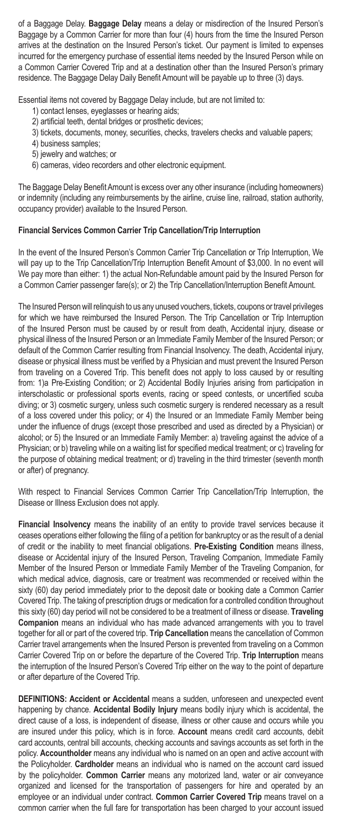of a Baggage Delay. **Baggage Delay** means a delay or misdirection of the Insured Person's Baggage by a Common Carrier for more than four (4) hours from the time the Insured Person arrives at the destination on the Insured Person's ticket. Our payment is limited to expenses incurred for the emergency purchase of essential items needed by the Insured Person while on a Common Carrier Covered Trip and at a destination other than the Insured Person's primary residence. The Baggage Delay Daily Benefit Amount will be payable up to three (3) days.

Essential items not covered by Baggage Delay include, but are not limited to:

- 1) contact lenses, eyeglasses or hearing aids;
- 2) artificial teeth, dental bridges or prosthetic devices;
- 3) tickets, documents, money, securities, checks, travelers checks and valuable papers;
- 4) business samples;
- 5) jewelry and watches; or
- 6) cameras, video recorders and other electronic equipment.

The Baggage Delay Benefit Amount is excess over any other insurance (including homeowners) or indemnity (including any reimbursements by the airline, cruise line, railroad, station authority, occupancy provider) available to the Insured Person.

# **Financial Services Common Carrier Trip Cancellation/Trip Interruption**

In the event of the Insured Person's Common Carrier Trip Cancellation or Trip Interruption, We will pay up to the Trip Cancellation/Trip Interruption Benefit Amount of \$3,000. In no event will We pay more than either: 1) the actual Non-Refundable amount paid by the Insured Person for a Common Carrier passenger fare(s); or 2) the Trip Cancellation/Interruption Benefit Amount.

The Insured Person will relinquish to us any unused vouchers, tickets, coupons or travel privileges for which we have reimbursed the Insured Person. The Trip Cancellation or Trip Interruption of the Insured Person must be caused by or result from death, Accidental injury, disease or physical illness of the Insured Person or an Immediate Family Member of the Insured Person; or default of the Common Carrier resulting from Financial Insolvency. The death, Accidental injury, disease or physical illness must be verified by a Physician and must prevent the Insured Person from traveling on a Covered Trip. This benefit does not apply to loss caused by or resulting from: 1)a Pre-Existing Condition; or 2) Accidental Bodily Injuries arising from participation in interscholastic or professional sports events, racing or speed contests, or uncertified scuba diving; or 3) cosmetic surgery, unless such cosmetic surgery is rendered necessary as a result of a loss covered under this policy; or 4) the Insured or an Immediate Family Member being under the influence of drugs (except those prescribed and used as directed by a Physician) or alcohol; or 5) the Insured or an Immediate Family Member: a) traveling against the advice of a Physician; or b) traveling while on a waiting list for specified medical treatment; or c) traveling for the purpose of obtaining medical treatment; or d) traveling in the third trimester (seventh month or after) of pregnancy.

With respect to Financial Services Common Carrier Trip Cancellation/Trip Interruption, the Disease or Illness Exclusion does not apply.

**Financial Insolvency** means the inability of an entity to provide travel services because it ceases operations either following the filing of a petition for bankruptcy or as the result of a denial of credit or the inability to meet financial obligations. **Pre-Existing Condition** means illness, disease or Accidental injury of the Insured Person, Traveling Companion, Immediate Family Member of the Insured Person or Immediate Family Member of the Traveling Companion, for which medical advice, diagnosis, care or treatment was recommended or received within the sixty (60) day period immediately prior to the deposit date or booking date a Common Carrier Covered Trip. The taking of prescription drugs or medication for a controlled condition throughout this sixty (60) day period will not be considered to be a treatment of illness or disease. **Traveling Companion** means an individual who has made advanced arrangements with you to travel together for all or part of the covered trip. **Trip Cancellation** means the cancellation of Common Carrier travel arrangements when the Insured Person is prevented from traveling on a Common Carrier Covered Trip on or before the departure of the Covered Trip. **Trip Interruption** means the interruption of the Insured Person's Covered Trip either on the way to the point of departure or after departure of the Covered Trip.

**DEFINITIONS: Accident or Accidental** means a sudden, unforeseen and unexpected event happening by chance. **Accidental Bodily Injury** means bodily injury which is accidental, the direct cause of a loss, is independent of disease, illness or other cause and occurs while you are insured under this policy, which is in force. **Account** means credit card accounts, debit card accounts, central bill accounts, checking accounts and savings accounts as set forth in the policy. **Accountholder** means any individual who is named on an open and active account with the Policyholder. **Cardholder** means an individual who is named on the account card issued by the policyholder. **Common Carrier** means any motorized land, water or air conveyance organized and licensed for the transportation of passengers for hire and operated by an employee or an individual under contract. **Common Carrier Covered Trip** means travel on a common carrier when the full fare for transportation has been charged to your account issued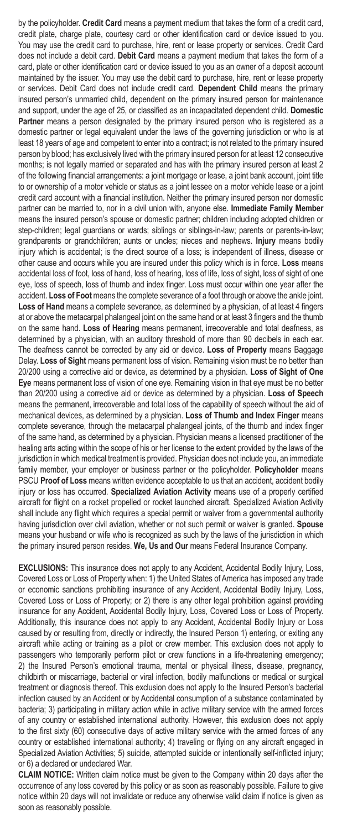by the policyholder. **Credit Card** means a payment medium that takes the form of a credit card, credit plate, charge plate, courtesy card or other identification card or device issued to you. You may use the credit card to purchase, hire, rent or lease property or services. Credit Card does not include a debit card. **Debit Card** means a payment medium that takes the form of a card, plate or other identification card or device issued to you as an owner of a deposit account maintained by the issuer. You may use the debit card to purchase, hire, rent or lease property or services. Debit Card does not include credit card. **Dependent Child** means the primary insured person's unmarried child, dependent on the primary insured person for maintenance and support, under the age of 25, or classified as an incapacitated dependent child. **Domestic**  Partner means a person designated by the primary insured person who is registered as a domestic partner or legal equivalent under the laws of the governing jurisdiction or who is at least 18 years of age and competent to enter into a contract; is not related to the primary insured person by blood; has exclusively lived with the primary insured person for at least 12 consecutive months; is not legally married or separated and has with the primary insured person at least 2 of the following financial arrangements: a joint mortgage or lease, a joint bank account, joint title to or ownership of a motor vehicle or status as a joint lessee on a motor vehicle lease or a joint credit card account with a financial institution. Neither the primary insured person nor domestic partner can be married to, nor in a civil union with, anyone else. **Immediate Family Member** means the insured person's spouse or domestic partner; children including adopted children or step-children; legal guardians or wards; siblings or siblings-in-law; parents or parents-in-law; grandparents or grandchildren; aunts or uncles; nieces and nephews. **Injury** means bodily injury which is accidental; is the direct source of a loss; is independent of illness, disease or other cause and occurs while you are insured under this policy which is in force. **Loss** means accidental loss of foot, loss of hand, loss of hearing, loss of life, loss of sight, loss of sight of one eye, loss of speech, loss of thumb and index finger. Loss must occur within one year after the accident. **Loss of Foot** means the complete severance of a foot through or above the ankle joint. **Loss of Hand** means a complete severance, as determined by a physician, of at least 4 fingers at or above the metacarpal phalangeal joint on the same hand or at least 3 fingers and the thumb on the same hand. **Loss of Hearing** means permanent, irrecoverable and total deafness, as determined by a physician, with an auditory threshold of more than 90 decibels in each ear. The deafness cannot be corrected by any aid or device. **Loss of Property** means Baggage Delay. **Loss of Sight** means permanent loss of vision. Remaining vision must be no better than 20/200 using a corrective aid or device, as determined by a physician. **Loss of Sight of One Eye** means permanent loss of vision of one eye. Remaining vision in that eye must be no better than 20/200 using a corrective aid or device as determined by a physician. **Loss of Speech** means the permanent, irrecoverable and total loss of the capability of speech without the aid of mechanical devices, as determined by a physician. **Loss of Thumb and Index Finger** means complete severance, through the metacarpal phalangeal joints, of the thumb and index finger of the same hand, as determined by a physician. Physician means a licensed practitioner of the healing arts acting within the scope of his or her license to the extent provided by the laws of the jurisdiction in which medical treatment is provided. Physician does not include you, an immediate family member, your employer or business partner or the policyholder. **Policyholder** means PSCU **Proof of Loss** means written evidence acceptable to us that an accident, accident bodily injury or loss has occurred. **Specialized Aviation Activity** means use of a properly certified aircraft for flight on a rocket propelled or rocket launched aircraft. Specialized Aviation Activity shall include any flight which requires a special permit or waiver from a governmental authority having jurisdiction over civil aviation, whether or not such permit or waiver is granted. **Spouse** means your husband or wife who is recognized as such by the laws of the jurisdiction in which the primary insured person resides. **We, Us and Our** means Federal Insurance Company.

**EXCLUSIONS:** This insurance does not apply to any Accident, Accidental Bodily Injury, Loss, Covered Loss or Loss of Property when: 1) the United States of America has imposed any trade or economic sanctions prohibiting insurance of any Accident, Accidental Bodily Injury, Loss, Covered Loss or Loss of Property; or 2) there is any other legal prohibition against providing insurance for any Accident, Accidental Bodily Injury, Loss, Covered Loss or Loss of Property. Additionally, this insurance does not apply to any Accident, Accidental Bodily Injury or Loss caused by or resulting from, directly or indirectly, the Insured Person 1) entering, or exiting any aircraft while acting or training as a pilot or crew member. This exclusion does not apply to passengers who temporarily perform pilot or crew functions in a life-threatening emergency; 2) the Insured Person's emotional trauma, mental or physical illness, disease, pregnancy, childbirth or miscarriage, bacterial or viral infection, bodily malfunctions or medical or surgical treatment or diagnosis thereof. This exclusion does not apply to the Insured Person's bacterial infection caused by an Accident or by Accidental consumption of a substance contaminated by bacteria; 3) participating in military action while in active military service with the armed forces of any country or established international authority. However, this exclusion does not apply to the first sixty (60) consecutive days of active military service with the armed forces of any country or established international authority; 4) traveling or flying on any aircraft engaged in Specialized Aviation Activities; 5) suicide, attempted suicide or intentionally self-inflicted injury; or 6) a declared or undeclared War.

**CLAIM NOTICE:** Written claim notice must be given to the Company within 20 days after the occurrence of any loss covered by this policy or as soon as reasonably possible. Failure to give notice within 20 days will not invalidate or reduce any otherwise valid claim if notice is given as soon as reasonably possible.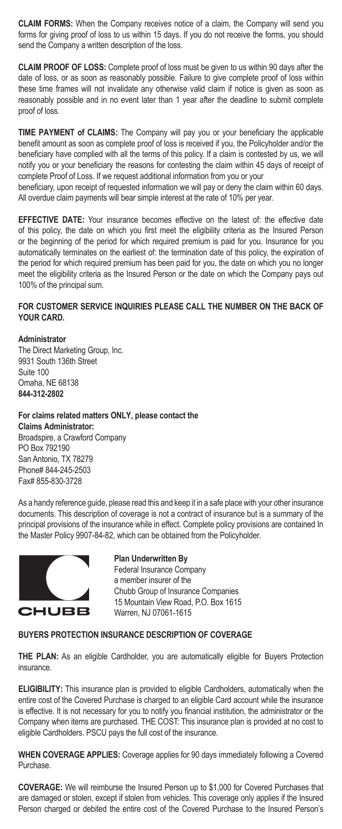**CLAIM FORMS:** When the Company receives notice of a claim, the Company will send you forms for giving proof of loss to us within 15 days. If you do not receive the forms, you should send the Company a written description of the loss.

**CLAIM PROOF OF LOSS:** Complete proof of loss must be given to us within 90 days after the date of loss, or as soon as reasonably possible. Failure to give complete proof of loss within these time frames will not invalidate any otherwise valid claim if notice is given as soon as reasonably possible and in no event later than 1 year after the deadline to submit complete proof of loss.

**TIME PAYMENT of CLAIMS:** The Company will pay you or your beneficiary the applicable benefit amount as soon as complete proof of loss is received if you, the Policyholder and/or the beneficiary have complied with all the terms of this policy. If a claim is contested by us, we will notify you or your beneficiary the reasons for contesting the claim within 45 days of receipt of complete Proof of Loss. If we request additional information from you or your

beneficiary, upon receipt of requested information we will pay or deny the claim within 60 days. All overdue claim payments will bear simple interest at the rate of 10% per year.

**EFFECTIVE DATE:** Your insurance becomes effective on the latest of: the effective date of this policy, the date on which you first meet the eligibility criteria as the Insured Person or the beginning of the period for which required premium is paid for you. Insurance for you automatically terminates on the earliest of: the termination date of this policy, the expiration of the period for which required premium has been paid for you, the date on which you no longer meet the eligibility criteria as the Insured Person or the date on which the Company pays out 100% of the principal sum.

# **FOR CUSTOMER SERVICE INQUIRIES PLEASE CALL THE NUMBER ON THE BACK OF YOUR CARD.**

#### **Administrator**

The Direct Marketing Group, Inc. 9931 South 136th Street Suite 100 Omaha, NE 68138 **844-312-2802** 

#### **For claims related matters ONLY, please contact the**

**Claims Administrator:**  Broadspire, a Crawford Company PO Box 792190 San Antonio, TX 78279 Phone# 844-245-2503 Fax# 855-830-3728

As a handy reference guide, please read this and keep it in a safe place with your other insurance documents. This description of coverage is not a contract of insurance but is a summary of the principal provisions of the insurance while in effect. Complete policy provisions are contained In the Master Policy 9907-84-82, which can be obtained from the Policyholder.



# **Plan Underwritten By**

Federal Insurance Company a member insurer of the Chubb Group of Insurance Companies 15 Mountain View Road, P.O. Box 1615 Warren, NJ 07061-1615

#### **BUYERS PROTECTION INSURANCE DESCRIPTION OF COVERAGE**

**THE PLAN:** As an eligible Cardholder, you are automatically eligible for Buyers Protection insurance.

**ELIGIBILITY:** This insurance plan is provided to eligible Cardholders, automatically when the entire cost of the Covered Purchase is charged to an eligible Card account while the insurance is effective. It is not necessary for you to notify you financial institution, the administrator or the Company when items are purchased. THE COST: This insurance plan is provided at no cost to eligible Cardholders. PSCU pays the full cost of the insurance.

**WHEN COVERAGE APPLIES:** Coverage applies for 90 days immediately following a Covered Purchase.

**COVERAGE:** We will reimburse the Insured Person up to \$1,000 for Covered Purchases that are damaged or stolen, except if stolen from vehicles. This coverage only applies if the Insured Person charged or debited the entire cost of the Covered Purchase to the Insured Person's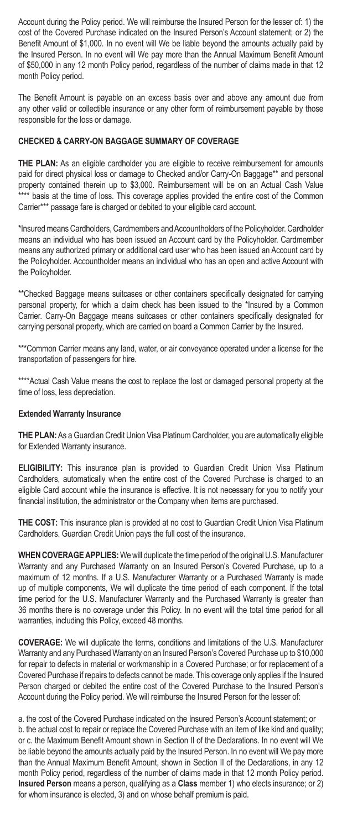Account during the Policy period. We will reimburse the Insured Person for the lesser of: 1) the cost of the Covered Purchase indicated on the Insured Person's Account statement; or 2) the Benefit Amount of \$1,000. In no event will We be liable beyond the amounts actually paid by the Insured Person. In no event will We pay more than the Annual Maximum Benefit Amount of \$50,000 in any 12 month Policy period, regardless of the number of claims made in that 12 month Policy period.

The Benefit Amount is payable on an excess basis over and above any amount due from any other valid or collectible insurance or any other form of reimbursement payable by those responsible for the loss or damage.

# **CHECKED & CARRY-ON BAGGAGE SUMMARY OF COVERAGE**

**THE PLAN:** As an eligible cardholder you are eligible to receive reimbursement for amounts paid for direct physical loss or damage to Checked and/or Carry-On Baggage\*\* and personal property contained therein up to \$3,000. Reimbursement will be on an Actual Cash Value \*\*\*\* basis at the time of loss. This coverage applies provided the entire cost of the Common Carrier\*\*\* passage fare is charged or debited to your eligible card account.

\*Insured means Cardholders, Cardmembers and Accountholders of the Policyholder. Cardholder means an individual who has been issued an Account card by the Policyholder. Cardmember means any authorized primary or additional card user who has been issued an Account card by the Policyholder. Accountholder means an individual who has an open and active Account with the Policyholder.

\*\*Checked Baggage means suitcases or other containers specifically designated for carrying personal property, for which a claim check has been issued to the \*Insured by a Common Carrier. Carry-On Baggage means suitcases or other containers specifically designated for carrying personal property, which are carried on board a Common Carrier by the Insured.

\*\*\*Common Carrier means any land, water, or air conveyance operated under a license for the transportation of passengers for hire.

\*\*\*\*Actual Cash Value means the cost to replace the lost or damaged personal property at the time of loss, less depreciation.

## **Extended Warranty Insurance**

**THE PLAN:** As a Guardian Credit Union Visa Platinum Cardholder, you are automatically eligible for Extended Warranty insurance.

**ELIGIBILITY:** This insurance plan is provided to Guardian Credit Union Visa Platinum Cardholders, automatically when the entire cost of the Covered Purchase is charged to an eligible Card account while the insurance is effective. It is not necessary for you to notify your financial institution, the administrator or the Company when items are purchased.

**THE COST:** This insurance plan is provided at no cost to Guardian Credit Union Visa Platinum Cardholders. Guardian Credit Union pays the full cost of the insurance.

**WHEN COVERAGE APPLIES:** We will duplicate the time period of the original U.S. Manufacturer Warranty and any Purchased Warranty on an Insured Person's Covered Purchase, up to a maximum of 12 months. If a U.S. Manufacturer Warranty or a Purchased Warranty is made up of multiple components, We will duplicate the time period of each component. If the total time period for the U.S. Manufacturer Warranty and the Purchased Warranty is greater than 36 months there is no coverage under this Policy. In no event will the total time period for all warranties, including this Policy, exceed 48 months.

**COVERAGE:** We will duplicate the terms, conditions and limitations of the U.S. Manufacturer Warranty and any Purchased Warranty on an Insured Person's Covered Purchase up to \$10,000 for repair to defects in material or workmanship in a Covered Purchase; or for replacement of a Covered Purchase if repairs to defects cannot be made. This coverage only applies if the Insured Person charged or debited the entire cost of the Covered Purchase to the Insured Person's Account during the Policy period. We will reimburse the Insured Person for the lesser of:

a. the cost of the Covered Purchase indicated on the Insured Person's Account statement; or b. the actual cost to repair or replace the Covered Purchase with an item of like kind and quality; or c. the Maximum Benefit Amount shown in Section II of the Declarations. In no event will We be liable beyond the amounts actually paid by the Insured Person. In no event will We pay more than the Annual Maximum Benefit Amount, shown in Section II of the Declarations, in any 12 month Policy period, regardless of the number of claims made in that 12 month Policy period. **Insured Person** means a person, qualifying as a **Class** member 1) who elects insurance; or 2) for whom insurance is elected, 3) and on whose behalf premium is paid.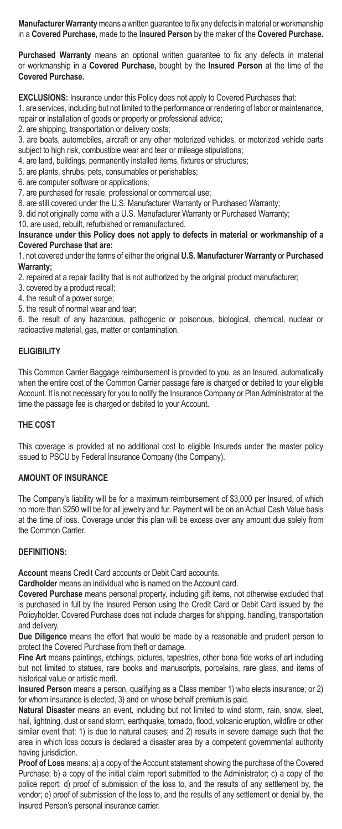**Manufacturer Warranty** means a written guarantee to fix any defects in material or workmanship in a **Covered Purchase,** made to the **Insured Person** by the maker of the **Covered Purchase.**

**Purchased Warranty** means an optional written guarantee to fix any defects in material or workmanship in a **Covered Purchase,** bought by the **Insured Person** at the time of the **Covered Purchase.** 

**EXCLUSIONS:** Insurance under this Policy does not apply to Covered Purchases that:

1. are services, including but not limited to the performance or rendering of labor or maintenance, repair or installation of goods or property or professional advice;

2. are shipping, transportation or delivery costs;

3. are boats, automobiles, aircraft or any other motorized vehicles, or motorized vehicle parts subject to high risk, combustible wear and tear or mileage stipulations;

4. are land, buildings, permanently installed items, fixtures or structures;

5. are plants, shrubs, pets, consumables or perishables;

6. are computer software or applications;

7. are purchased for resale, professional or commercial use;

8. are still covered under the U.S. Manufacturer Warranty or Purchased Warranty;

9. did not originally come with a U.S. Manufacturer Warranty or Purchased Warranty;

10. are used, rebuilt, refurbished or remanufactured.

**Insurance under this Policy does not apply to defects in material or workmanship of a Covered Purchase that are:** 

1. not covered under the terms of either the original **U.S. Manufacturer Warranty** or **Purchased Warranty;**

2. repaired at a repair facility that is not authorized by the original product manufacturer;

- 3. covered by a product recall;
- 4. the result of a power surge;
- 5. the result of normal wear and tear;

6. the result of any hazardous, pathogenic or poisonous, biological, chemical, nuclear or radioactive material, gas, matter or contamination.

#### **ELIGIBILITY**

This Common Carrier Baggage reimbursement is provided to you, as an Insured, automatically when the entire cost of the Common Carrier passage fare is charged or debited to your eligible Account. It is not necessary for you to notify the Insurance Company or Plan Administrator at the time the passage fee is charged or debited to your Account.

#### **THE COST**

This coverage is provided at no additional cost to eligible Insureds under the master policy issued to PSCU by Federal Insurance Company (the Company).

## **AMOUNT OF INSURANCE**

The Company's liability will be for a maximum reimbursement of \$3,000 per Insured, of which no more than \$250 will be for all jewelry and fur. Payment will be on an Actual Cash Value basis at the time of loss. Coverage under this plan will be excess over any amount due solely from the Common Carrier.

### **DEFINITIONS:**

**Account** means Credit Card accounts or Debit Card accounts.

**Cardholder** means an individual who is named on the Account card.

**Covered Purchase** means personal property, including gift items, not otherwise excluded that is purchased in full by the Insured Person using the Credit Card or Debit Card issued by the Policyholder. Covered Purchase does not include charges for shipping, handling, transportation and delivery.

**Due Diligence** means the effort that would be made by a reasonable and prudent person to protect the Covered Purchase from theft or damage.

**Fine Art** means paintings, etchings, pictures, tapestries, other bona fide works of art including but not limited to statues, rare books and manuscripts, porcelains, rare glass, and items of historical value or artistic merit.

**Insured Person** means a person, qualifying as a Class member 1) who elects insurance; or 2) for whom insurance is elected, 3) and on whose behalf premium is paid.

**Natural Disaster** means an event, including but not limited to wind storm, rain, snow, sleet, hail, lightning, dust or sand storm, earthquake, tornado, flood, volcanic eruption, wildfire or other similar event that: 1) is due to natural causes; and 2) results in severe damage such that the area in which loss occurs is declared a disaster area by a competent governmental authority having jurisdiction.

**Proof of Loss** means: a) a copy of the Account statement showing the purchase of the Covered Purchase; b) a copy of the initial claim report submitted to the Administrator; c) a copy of the police report; d) proof of submission of the loss to, and the results of any settlement by, the vendor; e) proof of submission of the loss to, and the results of any settlement or denial by, the Insured Person's personal insurance carrier.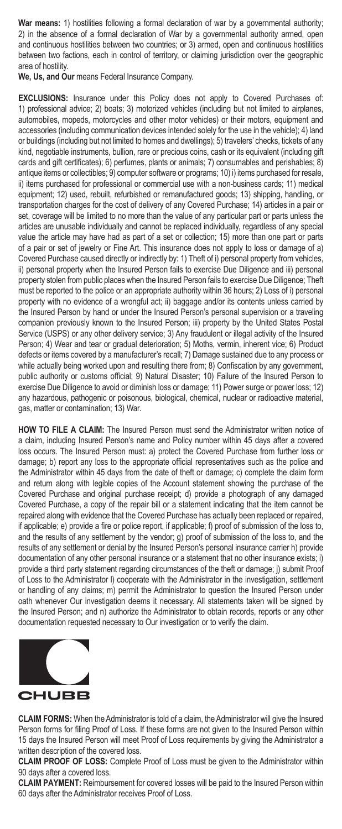War means: 1) hostilities following a formal declaration of war by a governmental authority; 2) in the absence of a formal declaration of War by a governmental authority armed, open and continuous hostilities between two countries; or 3) armed, open and continuous hostilities between two factions, each in control of territory, or claiming jurisdiction over the geographic area of hostility.

**We, Us, and Our** means Federal Insurance Company.

**EXCLUSIONS:** Insurance under this Policy does not apply to Covered Purchases of: 1) professional advice; 2) boats; 3) motorized vehicles (including but not limited to airplanes, automobiles, mopeds, motorcycles and other motor vehicles) or their motors, equipment and accessories (including communication devices intended solely for the use in the vehicle); 4) land or buildings (including but not limited to homes and dwellings); 5) travelers' checks, tickets of any kind, negotiable instruments, bullion, rare or precious coins, cash or its equivalent (including gift cards and gift certificates); 6) perfumes, plants or animals; 7) consumables and perishables; 8) antique items or collectibles; 9) computer software or programs; 10) i) items purchased for resale, ii) items purchased for professional or commercial use with a non-business cards; 11) medical equipment; 12) used, rebuilt, refurbished or remanufactured goods; 13) shipping, handling, or transportation charges for the cost of delivery of any Covered Purchase; 14) articles in a pair or set, coverage will be limited to no more than the value of any particular part or parts unless the articles are unusable individually and cannot be replaced individually, regardless of any special value the article may have had as part of a set or collection; 15) more than one part or parts of a pair or set of jewelry or Fine Art. This insurance does not apply to loss or damage of a) Covered Purchase caused directly or indirectly by: 1) Theft of i) personal property from vehicles, ii) personal property when the Insured Person fails to exercise Due Diligence and iii) personal property stolen from public places when the Insured Person fails to exercise Due Diligence; Theft must be reported to the police or an appropriate authority within 36 hours; 2) Loss of i) personal property with no evidence of a wrongful act; ii) baggage and/or its contents unless carried by the Insured Person by hand or under the Insured Person's personal supervision or a traveling companion previously known to the Insured Person; iii) property by the United States Postal Service (USPS) or any other delivery service; 3) Any fraudulent or illegal activity of the Insured Person; 4) Wear and tear or gradual deterioration; 5) Moths, vermin, inherent vice; 6) Product defects or items covered by a manufacturer's recall; 7) Damage sustained due to any process or while actually being worked upon and resulting there from; 8) Confiscation by any government, public authority or customs official; 9) Natural Disaster; 10) Failure of the Insured Person to exercise Due Diligence to avoid or diminish loss or damage; 11) Power surge or power loss; 12) any hazardous, pathogenic or poisonous, biological, chemical, nuclear or radioactive material, gas, matter or contamination; 13) War.

**HOW TO FILE A CLAIM:** The Insured Person must send the Administrator written notice of a claim, including Insured Person's name and Policy number within 45 days after a covered loss occurs. The Insured Person must: a) protect the Covered Purchase from further loss or damage; b) report any loss to the appropriate official representatives such as the police and the Administrator within 45 days from the date of theft or damage; c) complete the claim form and return along with legible copies of the Account statement showing the purchase of the Covered Purchase and original purchase receipt; d) provide a photograph of any damaged Covered Purchase, a copy of the repair bill or a statement indicating that the item cannot be repaired along with evidence that the Covered Purchase has actually been replaced or repaired, if applicable; e) provide a fire or police report, if applicable; f) proof of submission of the loss to, and the results of any settlement by the vendor; g) proof of submission of the loss to, and the results of any settlement or denial by the Insured Person's personal insurance carrier h) provide documentation of any other personal insurance or a statement that no other insurance exists; i) provide a third party statement regarding circumstances of the theft or damage; j) submit Proof of Loss to the Administrator l) cooperate with the Administrator in the investigation, settlement or handling of any claims; m) permit the Administrator to question the Insured Person under oath whenever Our investigation deems it necessary. All statements taken will be signed by the Insured Person; and n) authorize the Administrator to obtain records, reports or any other documentation requested necessary to Our investigation or to verify the claim.



**CLAIM FORMS:** When the Administrator is told of a claim, the Administrator will give the Insured Person forms for filing Proof of Loss. If these forms are not given to the Insured Person within 15 days the Insured Person will meet Proof of Loss requirements by giving the Administrator a written description of the covered loss.

**CLAIM PROOF OF LOSS:** Complete Proof of Loss must be given to the Administrator within 90 days after a covered loss.

**CLAIM PAYMENT:** Reimbursement for covered losses will be paid to the Insured Person within 60 days after the Administrator receives Proof of Loss.